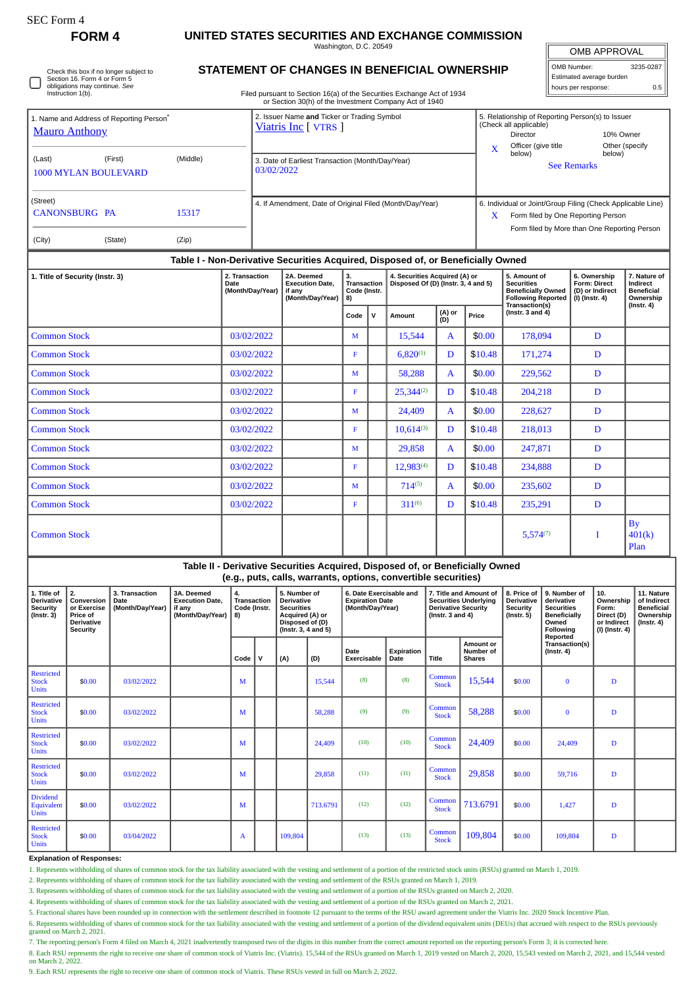## **FORM 4 UNITED STATES SECURITIES AND EXCHANGE COMMISSION**

Washington, D.C. 20549

OMB APPROVAL OMB Number: 3235-0287

Estimated average burden hours per response: 0.5

|  | Check this box if no longer subject to<br>Section 16. Form 4 or Form 5<br>obligations may continue. See<br>Instruction 1(b). |
|--|------------------------------------------------------------------------------------------------------------------------------|
|--|------------------------------------------------------------------------------------------------------------------------------|

## **STATEMENT OF CHANGES IN BENEFICIAL OWNERSHIP**

Filed pursuant to Section 16(a) of the Securities Exchange Act of 1934 or Section 30(h) of the Investment Company Act of 1940

|                                                                              |                                                                                  |          |                | of Section Softly of the investment Company Act of 1940             |  |                           |                           |                                                                                                                                                   |                              |                |  |  |
|------------------------------------------------------------------------------|----------------------------------------------------------------------------------|----------|----------------|---------------------------------------------------------------------|--|---------------------------|---------------------------|---------------------------------------------------------------------------------------------------------------------------------------------------|------------------------------|----------------|--|--|
| 1. Name and Address of Reporting Person <sup>*</sup><br><b>Mauro Anthony</b> |                                                                                  |          |                | 2. Issuer Name and Ticker or Trading Symbol<br>Viatris Inc [ VTRS ] |  |                           |                           | 5. Relationship of Reporting Person(s) to Issuer<br>(Check all applicable)<br><b>Director</b>                                                     | 10% Owner                    |                |  |  |
| (Last)<br><b>1000 MYLAN BOULEVARD</b>                                        | (First)                                                                          | (Middle) | 03/02/2022     | 3. Date of Earliest Transaction (Month/Day/Year)                    |  |                           | $\boldsymbol{\mathsf{x}}$ | Officer (give title<br>below)                                                                                                                     | below)<br><b>See Remarks</b> | Other (specify |  |  |
| (Street)<br><b>CANONSBURG PA</b>                                             |                                                                                  | 15317    |                | 4. If Amendment, Date of Original Filed (Month/Day/Year)            |  |                           | $\boldsymbol{\mathrm{X}}$ | 6. Individual or Joint/Group Filing (Check Applicable Line)<br>Form filed by One Reporting Person<br>Form filed by More than One Reporting Person |                              |                |  |  |
| (City)                                                                       | (State)                                                                          | (Zip)    |                |                                                                     |  |                           |                           |                                                                                                                                                   |                              |                |  |  |
|                                                                              | Table I - Non-Derivative Securities Acquired, Disposed of, or Beneficially Owned |          |                |                                                                     |  |                           |                           |                                                                                                                                                   |                              |                |  |  |
|                                                                              |                                                                                  |          | 2 Transportion | <b>24 Deciment</b>                                                  |  | Conviting Anguisad (A) as |                           | $E = A$ months of                                                                                                                                 | $c$ Outposed in              | $7$ Mature of  |  |  |

| 1. Title of Security (Instr. 3) | 2. Transaction<br><b>Date</b><br>(Month/Day/Year) | 2A. Deemed<br><b>Execution Date.</b><br>if any<br>(Month/Day/Year) | 3.<br>Transaction<br>Code (Instr.<br>8) |              | 4. Securities Acquired (A) or<br>Disposed Of (D) (Instr. 3, 4 and 5) |               |         | 5. Amount of<br><b>Securities</b><br><b>Beneficially Owned</b><br><b>Following Reported</b><br>Transaction(s) | 6. Ownership<br>Form: Direct<br>(D) or Indirect<br>$(I)$ (Instr. 4) | 7. Nature of<br>Indirect<br><b>Beneficial</b><br>Ownership<br>$($ Instr. 4 $)$ |  |
|---------------------------------|---------------------------------------------------|--------------------------------------------------------------------|-----------------------------------------|--------------|----------------------------------------------------------------------|---------------|---------|---------------------------------------------------------------------------------------------------------------|---------------------------------------------------------------------|--------------------------------------------------------------------------------|--|
|                                 |                                                   |                                                                    | Code                                    | $\mathsf{v}$ | Amount                                                               | (A) or<br>(D) | Price   | ( $lnstr. 3 and 4$ )                                                                                          |                                                                     |                                                                                |  |
| <b>Common Stock</b>             | 03/02/2022                                        |                                                                    | M                                       |              | 15,544                                                               | A             | \$0.00  | 178,094                                                                                                       | D                                                                   |                                                                                |  |
| <b>Common Stock</b>             | 03/02/2022                                        |                                                                    | F                                       |              | $6,820^{(1)}$                                                        | D             | \$10.48 | 171,274                                                                                                       | D                                                                   |                                                                                |  |
| <b>Common Stock</b>             | 03/02/2022                                        |                                                                    | M                                       |              | 58,288                                                               | $\mathbf{A}$  | \$0.00  | 229,562                                                                                                       | D                                                                   |                                                                                |  |
| <b>Common Stock</b>             | 03/02/2022                                        |                                                                    | F                                       |              | $25,344^{(2)}$                                                       | D             | \$10.48 | 204,218                                                                                                       | D                                                                   |                                                                                |  |
| <b>Common Stock</b>             | 03/02/2022                                        |                                                                    | M                                       |              | 24,409                                                               | $\mathbf{A}$  | \$0.00  | 228,627                                                                                                       | D                                                                   |                                                                                |  |
| <b>Common Stock</b>             | 03/02/2022                                        |                                                                    | F                                       |              | $10,614^{(3)}$                                                       | D             | \$10.48 | 218,013                                                                                                       | D                                                                   |                                                                                |  |
| <b>Common Stock</b>             | 03/02/2022                                        |                                                                    | M                                       |              | 29,858                                                               | $\mathbf{A}$  | \$0.00  | 247,871                                                                                                       | D                                                                   |                                                                                |  |
| <b>Common Stock</b>             | 03/02/2022                                        |                                                                    | F                                       |              | $12,983^{(4)}$                                                       | D             | \$10.48 | 234,888                                                                                                       | D                                                                   |                                                                                |  |
| <b>Common Stock</b>             | 03/02/2022                                        |                                                                    | M                                       |              | $714^{(5)}$                                                          | A             | \$0.00  | 235,602                                                                                                       | D                                                                   |                                                                                |  |
| Common Stock                    | 03/02/2022                                        |                                                                    | F                                       |              | $311^{(6)}$                                                          | D             | \$10.48 | 235,291                                                                                                       | D                                                                   |                                                                                |  |
| <b>Common Stock</b>             |                                                   |                                                                    |                                         |              |                                                                      |               |         | $5,574^{(7)}$                                                                                                 | I                                                                   | <b>By</b><br>401(k)<br>Plan                                                    |  |

| Table II - Derivative Securities Acquired, Disposed of, or Beneficially Owned |
|-------------------------------------------------------------------------------|
| (e.g., puts, calls, warrants, options, convertible securities)                |

| 1. Title of<br><b>Derivative</b><br>Security<br>$($ Instr. 3 $)$ | 2.<br>Conversion<br>or Exercise<br>Price of<br><b>Derivative</b><br>Security | 3. Transaction<br>Date<br>(Month/Day/Year) | 3A. Deemed<br><b>Execution Date,</b><br>if any<br>(Month/Day/Year) | 4.<br><b>Transaction</b><br>Code (Instr.<br>8) |   | 5. Number of<br><b>Derivative</b><br><b>Securities</b><br>Acquired (A) or<br>Disposed of (D)<br>(Instr. 3, 4 and 5) |          | 6. Date Exercisable and<br><b>Expiration Date</b><br>(Month/Day/Year) |                    | 7. Title and Amount of<br><b>Securities Underlying</b><br><b>Derivative Security</b><br>( $lnstr. 3 and 4$ ) |                                         | 8. Price of<br><b>Derivative</b><br>Security<br>$($ Instr. 5 $)$ | 9. Number of<br>derivative<br><b>Securities</b><br>Beneficially<br>Owned<br><b>Following</b><br>Reported | 10.<br>Ownership<br>Form:<br>Direct (D)<br>or Indirect<br>$(I)$ (Instr. 4) | 11. Nature<br>of Indirect<br><b>Beneficial</b><br>Ownership<br>$($ Instr. 4 $)$ |
|------------------------------------------------------------------|------------------------------------------------------------------------------|--------------------------------------------|--------------------------------------------------------------------|------------------------------------------------|---|---------------------------------------------------------------------------------------------------------------------|----------|-----------------------------------------------------------------------|--------------------|--------------------------------------------------------------------------------------------------------------|-----------------------------------------|------------------------------------------------------------------|----------------------------------------------------------------------------------------------------------|----------------------------------------------------------------------------|---------------------------------------------------------------------------------|
|                                                                  |                                                                              |                                            |                                                                    | Code                                           | v | (A)                                                                                                                 | (D)      | Date<br><b>Exercisable</b>                                            | Expiration<br>Date | Title                                                                                                        | Amount or<br>Number of<br><b>Shares</b> | Transaction(s)<br>$($ Instr. 4 $)$                               |                                                                                                          |                                                                            |                                                                                 |
| <b>Restricted</b><br><b>Stock</b><br><b>Units</b>                | \$0.00                                                                       | 03/02/2022                                 |                                                                    | M                                              |   |                                                                                                                     | 15.544   | (8)                                                                   | (8)                | Common<br><b>Stock</b>                                                                                       | 15,544                                  | \$0.00                                                           | $\bf{0}$                                                                                                 | D                                                                          |                                                                                 |
| <b>Restricted</b><br><b>Stock</b><br><b>Units</b>                | \$0.00                                                                       | 03/02/2022                                 |                                                                    | M                                              |   |                                                                                                                     | 58.288   | (9)                                                                   | (9)                | Common<br><b>Stock</b>                                                                                       | 58,288                                  | \$0.00                                                           | $\Omega$                                                                                                 | D                                                                          |                                                                                 |
| <b>Restricted</b><br><b>Stock</b><br><b>Units</b>                | \$0.00                                                                       | 03/02/2022                                 |                                                                    | M                                              |   |                                                                                                                     | 24,409   | (10)                                                                  | (10)               | Common<br><b>Stock</b>                                                                                       | 24,409                                  | \$0.00                                                           | 24,409                                                                                                   | D                                                                          |                                                                                 |
| <b>Restricted</b><br><b>Stock</b><br><b>Units</b>                | \$0.00                                                                       | 03/02/2022                                 |                                                                    | M                                              |   |                                                                                                                     | 29,858   | (11)                                                                  | (11)               | Common<br><b>Stock</b>                                                                                       | 29,858                                  | \$0.00                                                           | 59,716                                                                                                   | D                                                                          |                                                                                 |
| <b>Dividend</b><br>Equivalent<br><b>Units</b>                    | \$0.00                                                                       | 03/02/2022                                 |                                                                    | M                                              |   |                                                                                                                     | 713.6791 | (12)                                                                  | (12)               | Common<br><b>Stock</b>                                                                                       | 713.6791                                | \$0.00                                                           | 1,427                                                                                                    | D                                                                          |                                                                                 |
| <b>Restricted</b><br><b>Stock</b><br><b>Units</b>                | \$0.00                                                                       | 03/04/2022                                 |                                                                    | A                                              |   | 109,804                                                                                                             |          | (13)                                                                  | (13)               | Common<br><b>Stock</b>                                                                                       | 109,804                                 | \$0.00                                                           | 109,804                                                                                                  | D                                                                          |                                                                                 |

## **Explanation of Responses:**

1. Represents withholding of shares of common stock for the tax liability associated with the vesting and settlement of a portion of the restricted stock units (RSUs) granted on March 1, 2019.

2. Represents withholding of shares of common stock for the tax liability associated with the vesting and settlement of the RSUs granted on March 1, 2019.

3. Represents withholding of shares of common stock for the tax liability associated with the vesting and settlement of a portion of the RSUs granted on March 2, 2020.

4. Represents withholding of shares of common stock for the tax liability associated with the vesting and settlement of a portion of the RSUs granted on March 2, 2021.

5. Fractional shares have been rounded up in connection with the settlement described in footnote 12 pursuant to the terms of the RSU award agreement under the Viatris Inc. 2020 Stock Incentive Plan.

6. Represents withholding of shares of common stock for the tax liability associated with the vesting and settlement of a portion of the dividend equivalent units (DEUs) that accrued with respect to the RSUs previously<br>gra

7. The reporting person's Form 4 filed on March 4, 2021 inadvertently transposed two of the digits in this number from the correct amount reported on the reporting person's Form 3; it is corrected here.

8. Each RSU represents the right to receive one share of common stock of Viatris Inc. (Viatris). 15,544 of the RSUs granted on March 1, 2019 vested on March 2, 2020, 15,543 vested on March 2, 2021, and 15,544 vested<br>on Mar

9. Each RSU represents the right to receive one share of common stock of Viatris. These RSUs vested in full on March 2, 2022.